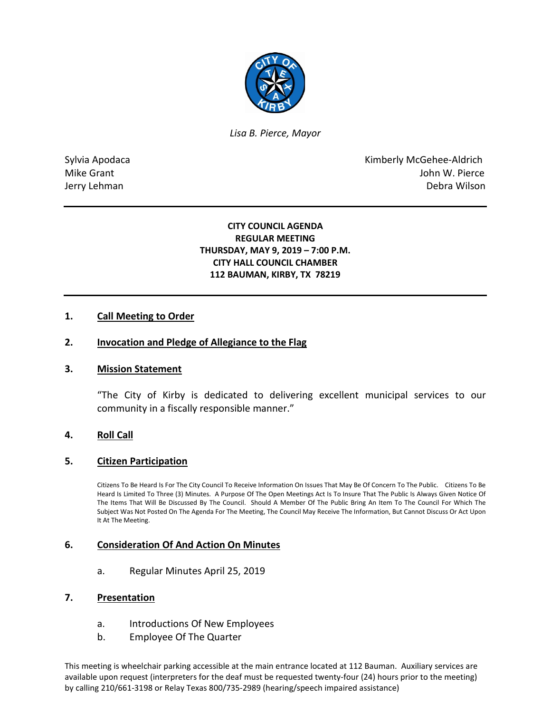

*Lisa B. Pierce, Mayor* 

Sylvia Apodaca **Kimberly McGehee-Aldrich** Mike Grant **Mike Grant** John W. Pierce Jerry Lehman Debra Wilson

### **CITY COUNCIL AGENDA REGULAR MEETING THURSDAY, MAY 9, 2019 – 7:00 P.M. CITY HALL COUNCIL CHAMBER 112 BAUMAN, KIRBY, TX 78219**

# **1. Call Meeting to Order**

### **2. Invocation and Pledge of Allegiance to the Flag**

### **3. Mission Statement**

"The City of Kirby is dedicated to delivering excellent municipal services to our community in a fiscally responsible manner."

### **4. Roll Call**

### **5. Citizen Participation**

Citizens To Be Heard Is For The City Council To Receive Information On Issues That May Be Of Concern To The Public. Citizens To Be Heard Is Limited To Three (3) Minutes. A Purpose Of The Open Meetings Act Is To Insure That The Public Is Always Given Notice Of The Items That Will Be Discussed By The Council. Should A Member Of The Public Bring An Item To The Council For Which The Subject Was Not Posted On The Agenda For The Meeting, The Council May Receive The Information, But Cannot Discuss Or Act Upon It At The Meeting.

### **6. Consideration Of And Action On Minutes**

a. Regular Minutes April 25, 2019

#### **7. Presentation**

- a. Introductions Of New Employees
- b. Employee Of The Quarter

This meeting is wheelchair parking accessible at the main entrance located at 112 Bauman. Auxiliary services are available upon request (interpreters for the deaf must be requested twenty-four (24) hours prior to the meeting) by calling 210/661-3198 or Relay Texas 800/735-2989 (hearing/speech impaired assistance)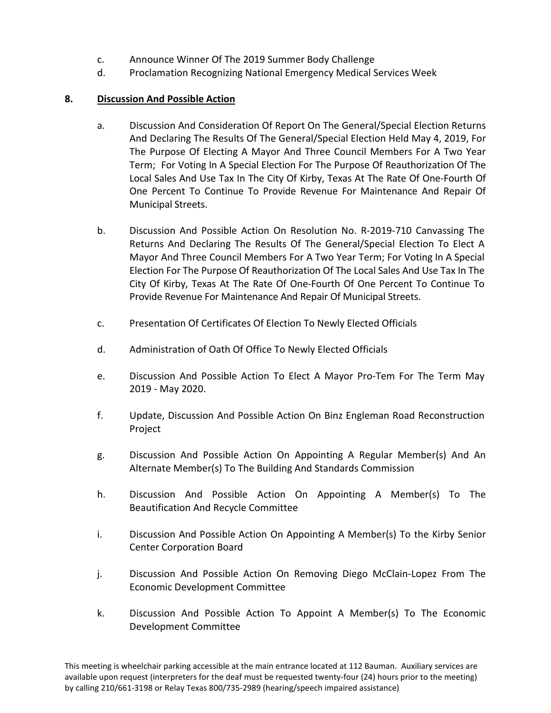- c. Announce Winner Of The 2019 Summer Body Challenge
- d. Proclamation Recognizing National Emergency Medical Services Week

# **8. Discussion And Possible Action**

- a. Discussion And Consideration Of Report On The General/Special Election Returns And Declaring The Results Of The General/Special Election Held May 4, 2019, For The Purpose Of Electing A Mayor And Three Council Members For A Two Year Term; For Voting In A Special Election For The Purpose Of Reauthorization Of The Local Sales And Use Tax In The City Of Kirby, Texas At The Rate Of One-Fourth Of One Percent To Continue To Provide Revenue For Maintenance And Repair Of Municipal Streets.
- b. Discussion And Possible Action On Resolution No. R-2019-710 Canvassing The Returns And Declaring The Results Of The General/Special Election To Elect A Mayor And Three Council Members For A Two Year Term; For Voting In A Special Election For The Purpose Of Reauthorization Of The Local Sales And Use Tax In The City Of Kirby, Texas At The Rate Of One-Fourth Of One Percent To Continue To Provide Revenue For Maintenance And Repair Of Municipal Streets.
- c. Presentation Of Certificates Of Election To Newly Elected Officials
- d. Administration of Oath Of Office To Newly Elected Officials
- e. Discussion And Possible Action To Elect A Mayor Pro-Tem For The Term May 2019 - May 2020.
- f. Update, Discussion And Possible Action On Binz Engleman Road Reconstruction Project
- g. Discussion And Possible Action On Appointing A Regular Member(s) And An Alternate Member(s) To The Building And Standards Commission
- h. Discussion And Possible Action On Appointing A Member(s) To The Beautification And Recycle Committee
- i. Discussion And Possible Action On Appointing A Member(s) To the Kirby Senior Center Corporation Board
- j. Discussion And Possible Action On Removing Diego McClain-Lopez From The Economic Development Committee
- k. Discussion And Possible Action To Appoint A Member(s) To The Economic Development Committee